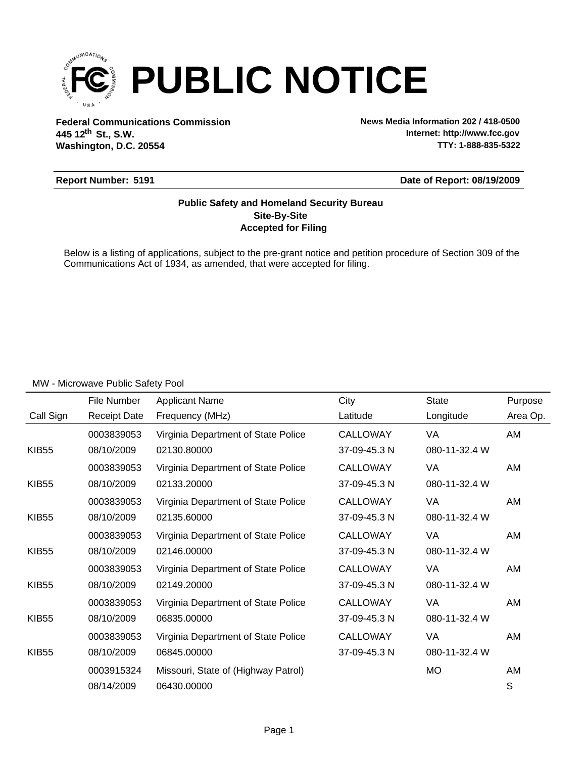

**Federal Communications Commission News Media Information 202 / 418-0500 Washington, D.C. 20554 th 445 12 St., S.W.**

**Internet: http://www.fcc.gov TTY: 1-888-835-5322**

#### **Report Number: 5191**

**Date of Report: 08/19/2009**

### **Accepted for Filing Site-By-Site Public Safety and Homeland Security Bureau**

Below is a listing of applications, subject to the pre-grant notice and petition procedure of Section 309 of the Communications Act of 1934, as amended, that were accepted for filing.

|              | File Number         | <b>Applicant Name</b>               | City            | <b>State</b>  | Purpose  |
|--------------|---------------------|-------------------------------------|-----------------|---------------|----------|
| Call Sign    | <b>Receipt Date</b> | Frequency (MHz)                     | Latitude        | Longitude     | Area Op. |
|              | 0003839053          | Virginia Department of State Police | <b>CALLOWAY</b> | VA            | AM       |
| <b>KIB55</b> | 08/10/2009          | 02130.80000                         | 37-09-45.3 N    | 080-11-32.4 W |          |
|              | 0003839053          | Virginia Department of State Police | <b>CALLOWAY</b> | VA            | AM       |
| <b>KIB55</b> | 08/10/2009          | 02133.20000                         | 37-09-45.3 N    | 080-11-32.4 W |          |
|              | 0003839053          | Virginia Department of State Police | <b>CALLOWAY</b> | VA            | AM       |
| <b>KIB55</b> | 08/10/2009          | 02135.60000                         | 37-09-45.3 N    | 080-11-32.4 W |          |
|              | 0003839053          | Virginia Department of State Police | <b>CALLOWAY</b> | VA            | AM       |
| <b>KIB55</b> | 08/10/2009          | 02146.00000                         | 37-09-45.3 N    | 080-11-32.4 W |          |
|              | 0003839053          | Virginia Department of State Police | CALLOWAY        | VA            | AM       |
| <b>KIB55</b> | 08/10/2009          | 02149.20000                         | 37-09-45.3 N    | 080-11-32.4 W |          |
|              | 0003839053          | Virginia Department of State Police | CALLOWAY        | VA            | AM       |
| <b>KIB55</b> | 08/10/2009          | 06835.00000                         | 37-09-45.3 N    | 080-11-32.4 W |          |
|              | 0003839053          | Virginia Department of State Police | <b>CALLOWAY</b> | VA            | AM       |
| <b>KIB55</b> | 08/10/2009          | 06845.00000                         | 37-09-45.3 N    | 080-11-32.4 W |          |
|              | 0003915324          | Missouri, State of (Highway Patrol) |                 | МO            | AM       |
|              | 08/14/2009          | 06430.00000                         |                 |               | S        |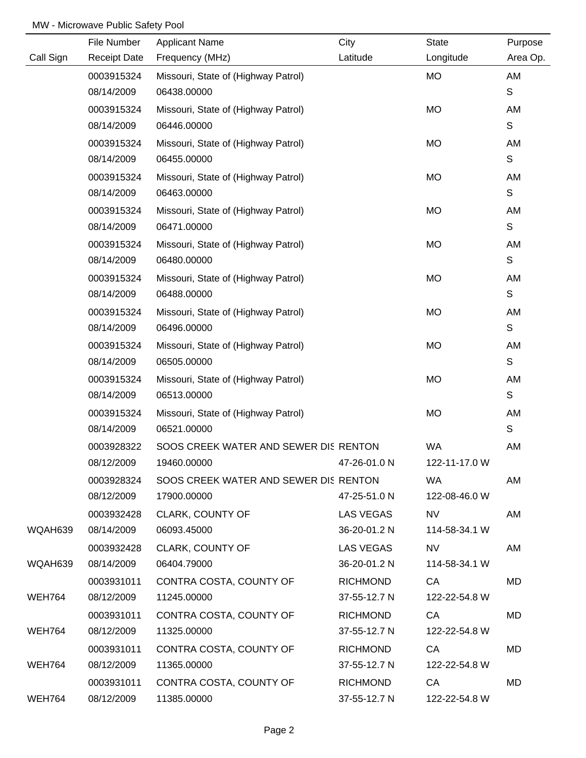|               | File Number         | <b>Applicant Name</b>                 | City            | <b>State</b>  | Purpose     |
|---------------|---------------------|---------------------------------------|-----------------|---------------|-------------|
| Call Sign     | <b>Receipt Date</b> | Frequency (MHz)                       | Latitude        | Longitude     | Area Op.    |
|               | 0003915324          | Missouri, State of (Highway Patrol)   |                 | <b>MO</b>     | AM          |
|               | 08/14/2009          | 06438.00000                           |                 |               | S           |
|               | 0003915324          | Missouri, State of (Highway Patrol)   |                 | <b>MO</b>     | AM          |
|               | 08/14/2009          | 06446.00000                           |                 |               | S           |
|               | 0003915324          | Missouri, State of (Highway Patrol)   |                 | <b>MO</b>     | AM          |
|               | 08/14/2009          | 06455.00000                           |                 |               | S           |
|               | 0003915324          | Missouri, State of (Highway Patrol)   |                 | <b>MO</b>     | AM          |
|               | 08/14/2009          | 06463.00000                           |                 |               | $\mathsf S$ |
|               | 0003915324          | Missouri, State of (Highway Patrol)   |                 | <b>MO</b>     | AM          |
|               | 08/14/2009          | 06471.00000                           |                 |               | $\mathsf S$ |
|               | 0003915324          | Missouri, State of (Highway Patrol)   |                 | <b>MO</b>     | AM          |
|               | 08/14/2009          | 06480.00000                           |                 |               | $\mathbf S$ |
|               | 0003915324          | Missouri, State of (Highway Patrol)   |                 | <b>MO</b>     | AM          |
|               | 08/14/2009          | 06488.00000                           |                 |               | $\mathsf S$ |
|               | 0003915324          | Missouri, State of (Highway Patrol)   |                 | <b>MO</b>     | AM          |
|               | 08/14/2009          | 06496.00000                           |                 |               | $\mathsf S$ |
|               | 0003915324          | Missouri, State of (Highway Patrol)   |                 | <b>MO</b>     | AM          |
|               | 08/14/2009          | 06505.00000                           |                 |               | S           |
|               | 0003915324          | Missouri, State of (Highway Patrol)   |                 | <b>MO</b>     | AM          |
|               | 08/14/2009          | 06513.00000                           |                 |               | S           |
|               | 0003915324          | Missouri, State of (Highway Patrol)   |                 | <b>MO</b>     | AM          |
|               | 08/14/2009          | 06521.00000                           |                 |               | S           |
|               | 0003928322          | SOOS CREEK WATER AND SEWER DIS RENTON |                 | <b>WA</b>     | AM          |
|               | 08/12/2009          | 19460.00000                           | 47-26-01.0 N    | 122-11-17.0 W |             |
|               | 0003928324          | SOOS CREEK WATER AND SEWER DIS RENTON |                 | <b>WA</b>     | AM          |
|               | 08/12/2009          | 17900.00000                           | 47-25-51.0 N    | 122-08-46.0 W |             |
|               | 0003932428          | <b>CLARK, COUNTY OF</b>               | LAS VEGAS       | <b>NV</b>     | AM          |
| WQAH639       | 08/14/2009          | 06093.45000                           | 36-20-01.2 N    | 114-58-34.1 W |             |
|               | 0003932428          | CLARK, COUNTY OF                      | LAS VEGAS       | <b>NV</b>     | AM          |
| WQAH639       | 08/14/2009          | 06404.79000                           | 36-20-01.2 N    | 114-58-34.1 W |             |
|               | 0003931011          | CONTRA COSTA, COUNTY OF               | <b>RICHMOND</b> | CA            | MD          |
| <b>WEH764</b> | 08/12/2009          | 11245.00000                           | 37-55-12.7 N    | 122-22-54.8 W |             |
|               | 0003931011          | CONTRA COSTA, COUNTY OF               | <b>RICHMOND</b> | CA            | MD          |
| WEH764        | 08/12/2009          | 11325.00000                           | 37-55-12.7 N    | 122-22-54.8 W |             |
|               | 0003931011          | CONTRA COSTA, COUNTY OF               | <b>RICHMOND</b> | CA            | MD          |
| WEH764        | 08/12/2009          | 11365.00000                           | 37-55-12.7 N    | 122-22-54.8 W |             |
|               | 0003931011          | CONTRA COSTA, COUNTY OF               | <b>RICHMOND</b> | CA            | MD          |
| <b>WEH764</b> | 08/12/2009          | 11385.00000                           | 37-55-12.7 N    | 122-22-54.8 W |             |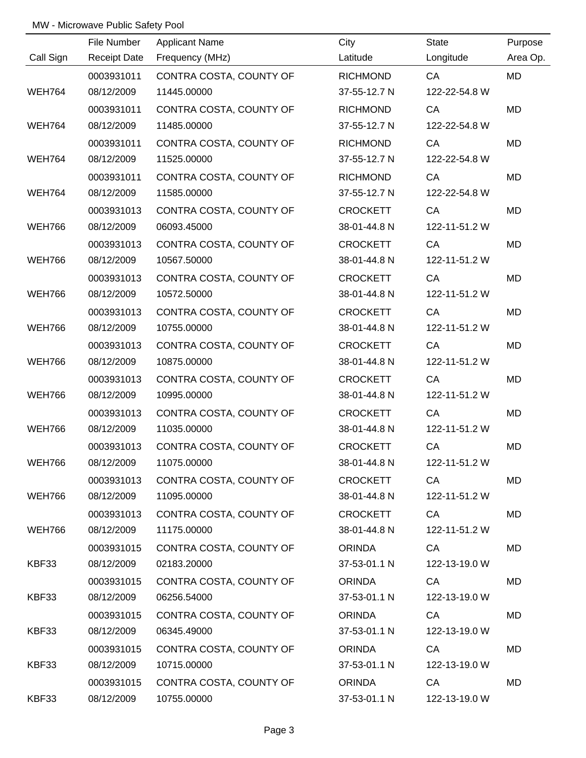|               | File Number         | <b>Applicant Name</b>   | City            | <b>State</b>  | Purpose   |
|---------------|---------------------|-------------------------|-----------------|---------------|-----------|
| Call Sign     | <b>Receipt Date</b> | Frequency (MHz)         | Latitude        | Longitude     | Area Op.  |
|               | 0003931011          | CONTRA COSTA, COUNTY OF | <b>RICHMOND</b> | CA            | <b>MD</b> |
| <b>WEH764</b> | 08/12/2009          | 11445.00000             | 37-55-12.7 N    | 122-22-54.8 W |           |
|               | 0003931011          | CONTRA COSTA, COUNTY OF | <b>RICHMOND</b> | CA            | <b>MD</b> |
| <b>WEH764</b> | 08/12/2009          | 11485.00000             | 37-55-12.7 N    | 122-22-54.8 W |           |
|               | 0003931011          | CONTRA COSTA, COUNTY OF | <b>RICHMOND</b> | CA            | <b>MD</b> |
| <b>WEH764</b> | 08/12/2009          | 11525.00000             | 37-55-12.7 N    | 122-22-54.8 W |           |
|               | 0003931011          | CONTRA COSTA, COUNTY OF | <b>RICHMOND</b> | CA            | MD        |
| <b>WEH764</b> | 08/12/2009          | 11585.00000             | 37-55-12.7 N    | 122-22-54.8 W |           |
|               | 0003931013          | CONTRA COSTA, COUNTY OF | <b>CROCKETT</b> | CA            | <b>MD</b> |
| <b>WEH766</b> | 08/12/2009          | 06093.45000             | 38-01-44.8 N    | 122-11-51.2 W |           |
|               | 0003931013          | CONTRA COSTA, COUNTY OF | <b>CROCKETT</b> | CA            | MD        |
| <b>WEH766</b> | 08/12/2009          | 10567.50000             | 38-01-44.8 N    | 122-11-51.2 W |           |
|               | 0003931013          | CONTRA COSTA, COUNTY OF | <b>CROCKETT</b> | CA            | MD        |
| <b>WEH766</b> | 08/12/2009          | 10572.50000             | 38-01-44.8 N    | 122-11-51.2 W |           |
|               | 0003931013          | CONTRA COSTA, COUNTY OF | <b>CROCKETT</b> | CA            | MD        |
| <b>WEH766</b> | 08/12/2009          | 10755.00000             | 38-01-44.8 N    | 122-11-51.2 W |           |
|               | 0003931013          | CONTRA COSTA, COUNTY OF | <b>CROCKETT</b> | CA            | MD        |
| <b>WEH766</b> | 08/12/2009          | 10875.00000             | 38-01-44.8 N    | 122-11-51.2 W |           |
|               | 0003931013          | CONTRA COSTA, COUNTY OF | <b>CROCKETT</b> | CA            | MD        |
| <b>WEH766</b> | 08/12/2009          | 10995.00000             | 38-01-44.8 N    | 122-11-51.2 W |           |
|               | 0003931013          | CONTRA COSTA, COUNTY OF | <b>CROCKETT</b> | CA            | MD        |
| <b>WEH766</b> | 08/12/2009          | 11035.00000             | 38-01-44.8 N    | 122-11-51.2 W |           |
|               | 0003931013          | CONTRA COSTA, COUNTY OF | <b>CROCKETT</b> | CA            | MD        |
| <b>WEH766</b> | 08/12/2009          | 11075.00000             | 38-01-44.8 N    | 122-11-51.2 W |           |
|               | 0003931013          | CONTRA COSTA, COUNTY OF | <b>CROCKETT</b> | CA            | MD        |
| WEH766        | 08/12/2009          | 11095.00000             | 38-01-44.8 N    | 122-11-51.2 W |           |
|               | 0003931013          | CONTRA COSTA, COUNTY OF | CROCKETT        | <b>CA</b>     | MD        |
| WEH766        | 08/12/2009          | 11175.00000             | 38-01-44.8 N    | 122-11-51.2 W |           |
|               | 0003931015          | CONTRA COSTA, COUNTY OF | ORINDA          | CA            | MD        |
| KBF33         | 08/12/2009          | 02183.20000             | 37-53-01.1 N    | 122-13-19.0 W |           |
|               | 0003931015          | CONTRA COSTA, COUNTY OF | <b>ORINDA</b>   | CA            | MD        |
| KBF33         | 08/12/2009          | 06256.54000             | 37-53-01.1 N    | 122-13-19.0 W |           |
|               | 0003931015          | CONTRA COSTA, COUNTY OF | <b>ORINDA</b>   | CA            | MD        |
| KBF33         | 08/12/2009          | 06345.49000             | 37-53-01.1 N    | 122-13-19.0 W |           |
|               | 0003931015          | CONTRA COSTA, COUNTY OF | <b>ORINDA</b>   | CA            | MD        |
| KBF33         | 08/12/2009          | 10715.00000             | 37-53-01.1 N    | 122-13-19.0 W |           |
|               | 0003931015          | CONTRA COSTA, COUNTY OF | <b>ORINDA</b>   | CA            | MD        |
| KBF33         | 08/12/2009          | 10755.00000             | 37-53-01.1 N    | 122-13-19.0 W |           |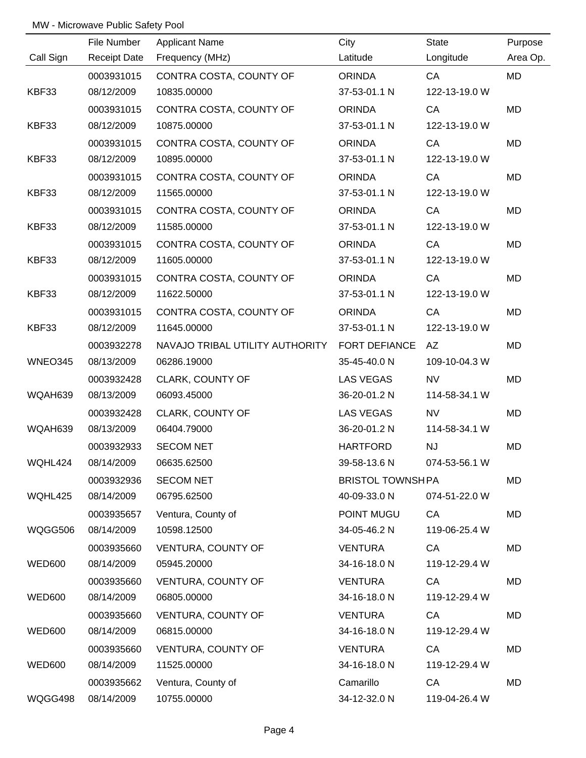|               | File Number         | <b>Applicant Name</b>                         | City                    | <b>State</b>  | Purpose   |
|---------------|---------------------|-----------------------------------------------|-------------------------|---------------|-----------|
| Call Sign     | <b>Receipt Date</b> | Frequency (MHz)                               | Latitude                | Longitude     | Area Op.  |
|               | 0003931015          | CONTRA COSTA, COUNTY OF                       | <b>ORINDA</b>           | CA            | MD        |
| KBF33         | 08/12/2009          | 10835.00000                                   | 37-53-01.1 N            | 122-13-19.0 W |           |
|               | 0003931015          | CONTRA COSTA, COUNTY OF                       | <b>ORINDA</b>           | CA            | <b>MD</b> |
| KBF33         | 08/12/2009          | 10875.00000                                   | 37-53-01.1 N            | 122-13-19.0 W |           |
|               | 0003931015          | CONTRA COSTA, COUNTY OF                       | <b>ORINDA</b>           | CA            | MD        |
| KBF33         | 08/12/2009          | 10895.00000                                   | 37-53-01.1 N            | 122-13-19.0 W |           |
|               | 0003931015          | CONTRA COSTA, COUNTY OF                       | <b>ORINDA</b>           | CA            | MD        |
| KBF33         | 08/12/2009          | 11565.00000                                   | 37-53-01.1 N            | 122-13-19.0 W |           |
|               | 0003931015          | CONTRA COSTA, COUNTY OF                       | <b>ORINDA</b>           | CA            | MD        |
| KBF33         | 08/12/2009          | 11585.00000                                   | 37-53-01.1 N            | 122-13-19.0 W |           |
|               | 0003931015          | CONTRA COSTA, COUNTY OF                       | <b>ORINDA</b>           | CA            | <b>MD</b> |
| KBF33         | 08/12/2009          | 11605.00000                                   | 37-53-01.1 N            | 122-13-19.0 W |           |
|               | 0003931015          | CONTRA COSTA, COUNTY OF                       | <b>ORINDA</b>           | CA            | MD        |
| KBF33         | 08/12/2009          | 11622.50000                                   | 37-53-01.1 N            | 122-13-19.0 W |           |
|               | 0003931015          | CONTRA COSTA, COUNTY OF                       | <b>ORINDA</b>           | CA            | MD        |
| KBF33         | 08/12/2009          | 11645.00000                                   | 37-53-01.1 N            | 122-13-19.0 W |           |
|               | 0003932278          | NAVAJO TRIBAL UTILITY AUTHORITY FORT DEFIANCE |                         | AZ            | MD        |
| WNEO345       | 08/13/2009          | 06286.19000                                   | 35-45-40.0 N            | 109-10-04.3 W |           |
|               | 0003932428          | CLARK, COUNTY OF                              | LAS VEGAS               | <b>NV</b>     | MD        |
| WQAH639       | 08/13/2009          | 06093.45000                                   | 36-20-01.2 N            | 114-58-34.1 W |           |
|               | 0003932428          | <b>CLARK, COUNTY OF</b>                       | LAS VEGAS               | <b>NV</b>     | MD        |
| WQAH639       | 08/13/2009          | 06404.79000                                   | 36-20-01.2 N            | 114-58-34.1 W |           |
|               | 0003932933          | <b>SECOM NET</b>                              | <b>HARTFORD</b>         | NJ            | MD        |
| WQHL424       | 08/14/2009          | 06635.62500                                   | 39-58-13.6 N            | 074-53-56.1 W |           |
|               | 0003932936          | <b>SECOM NET</b>                              | <b>BRISTOL TOWNSHPA</b> |               | MD        |
| WQHL425       | 08/14/2009          | 06795.62500                                   | 40-09-33.0 N            | 074-51-22.0 W |           |
|               | 0003935657          | Ventura, County of                            | POINT MUGU              | CA            | MD        |
| WQGG506       | 08/14/2009          | 10598.12500                                   | 34-05-46.2 N            | 119-06-25.4 W |           |
|               | 0003935660          | VENTURA, COUNTY OF                            | <b>VENTURA</b>          | CA            | MD        |
| <b>WED600</b> | 08/14/2009          | 05945.20000                                   | 34-16-18.0 N            | 119-12-29.4 W |           |
|               | 0003935660          | VENTURA, COUNTY OF                            | <b>VENTURA</b>          | CA            | MD        |
| WED600        | 08/14/2009          | 06805.00000                                   | 34-16-18.0 N            | 119-12-29.4 W |           |
|               | 0003935660          | VENTURA, COUNTY OF                            | <b>VENTURA</b>          | CA            | MD        |
| <b>WED600</b> | 08/14/2009          | 06815.00000                                   | 34-16-18.0 N            | 119-12-29.4 W |           |
|               | 0003935660          | VENTURA, COUNTY OF                            | <b>VENTURA</b>          | CA            | MD        |
| <b>WED600</b> | 08/14/2009          | 11525.00000                                   | 34-16-18.0 N            | 119-12-29.4 W |           |
|               | 0003935662          | Ventura, County of                            | Camarillo               | CA            | MD        |
| WQGG498       | 08/14/2009          | 10755.00000                                   | 34-12-32.0 N            | 119-04-26.4 W |           |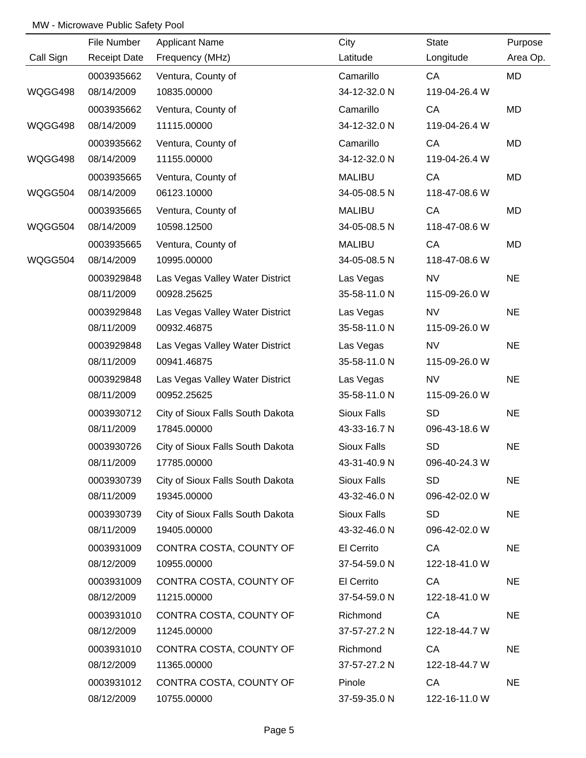|           | File Number         | <b>Applicant Name</b>            | City               | <b>State</b>  | Purpose   |
|-----------|---------------------|----------------------------------|--------------------|---------------|-----------|
| Call Sign | <b>Receipt Date</b> | Frequency (MHz)                  | Latitude           | Longitude     | Area Op.  |
|           | 0003935662          | Ventura, County of               | Camarillo          | CA            | <b>MD</b> |
| WQGG498   | 08/14/2009          | 10835.00000                      | 34-12-32.0 N       | 119-04-26.4 W |           |
|           | 0003935662          | Ventura, County of               | Camarillo          | CA            | MD        |
| WQGG498   | 08/14/2009          | 11115.00000                      | 34-12-32.0 N       | 119-04-26.4 W |           |
|           | 0003935662          | Ventura, County of               | Camarillo          | CA            | MD        |
| WQGG498   | 08/14/2009          | 11155.00000                      | 34-12-32.0 N       | 119-04-26.4 W |           |
|           | 0003935665          | Ventura, County of               | <b>MALIBU</b>      | CA            | MD        |
| WQGG504   | 08/14/2009          | 06123.10000                      | 34-05-08.5 N       | 118-47-08.6 W |           |
|           | 0003935665          | Ventura, County of               | <b>MALIBU</b>      | CA            | MD        |
| WQGG504   | 08/14/2009          | 10598.12500                      | 34-05-08.5 N       | 118-47-08.6 W |           |
|           | 0003935665          | Ventura, County of               | <b>MALIBU</b>      | CA            | MD        |
| WQGG504   | 08/14/2009          | 10995.00000                      | 34-05-08.5 N       | 118-47-08.6 W |           |
|           | 0003929848          | Las Vegas Valley Water District  | Las Vegas          | <b>NV</b>     | <b>NE</b> |
|           | 08/11/2009          | 00928.25625                      | 35-58-11.0 N       | 115-09-26.0 W |           |
|           | 0003929848          | Las Vegas Valley Water District  | Las Vegas          | <b>NV</b>     | <b>NE</b> |
|           | 08/11/2009          | 00932.46875                      | 35-58-11.0 N       | 115-09-26.0 W |           |
|           | 0003929848          | Las Vegas Valley Water District  | Las Vegas          | <b>NV</b>     | <b>NE</b> |
|           | 08/11/2009          | 00941.46875                      | 35-58-11.0 N       | 115-09-26.0 W |           |
|           | 0003929848          | Las Vegas Valley Water District  | Las Vegas          | <b>NV</b>     | <b>NE</b> |
|           | 08/11/2009          | 00952.25625                      | 35-58-11.0 N       | 115-09-26.0 W |           |
|           | 0003930712          | City of Sioux Falls South Dakota | <b>Sioux Falls</b> | <b>SD</b>     | <b>NE</b> |
|           | 08/11/2009          | 17845.00000                      | 43-33-16.7 N       | 096-43-18.6 W |           |
|           | 0003930726          | City of Sioux Falls South Dakota | <b>Sioux Falls</b> | <b>SD</b>     | <b>NE</b> |
|           | 08/11/2009          | 17785.00000                      | 43-31-40.9 N       | 096-40-24.3 W |           |
|           | 0003930739          | City of Sioux Falls South Dakota | <b>Sioux Falls</b> | <b>SD</b>     | <b>NE</b> |
|           | 08/11/2009          | 19345.00000                      | 43-32-46.0 N       | 096-42-02.0 W |           |
|           | 0003930739          | City of Sioux Falls South Dakota | Sioux Falls        | <b>SD</b>     | <b>NE</b> |
|           | 08/11/2009          | 19405.00000                      | 43-32-46.0 N       | 096-42-02.0 W |           |
|           | 0003931009          | CONTRA COSTA, COUNTY OF          | El Cerrito         | CA            | <b>NE</b> |
|           | 08/12/2009          | 10955.00000                      | 37-54-59.0 N       | 122-18-41.0 W |           |
|           | 0003931009          | CONTRA COSTA, COUNTY OF          | El Cerrito         | CA            | <b>NE</b> |
|           | 08/12/2009          | 11215.00000                      | 37-54-59.0 N       | 122-18-41.0 W |           |
|           | 0003931010          | CONTRA COSTA, COUNTY OF          | Richmond           | CA            | <b>NE</b> |
|           | 08/12/2009          | 11245.00000                      | 37-57-27.2 N       | 122-18-44.7 W |           |
|           | 0003931010          | CONTRA COSTA, COUNTY OF          | Richmond           | CA            | <b>NE</b> |
|           | 08/12/2009          | 11365.00000                      | 37-57-27.2 N       | 122-18-44.7 W |           |
|           | 0003931012          | CONTRA COSTA, COUNTY OF          | Pinole             | CA            | <b>NE</b> |
|           | 08/12/2009          | 10755.00000                      | 37-59-35.0 N       | 122-16-11.0 W |           |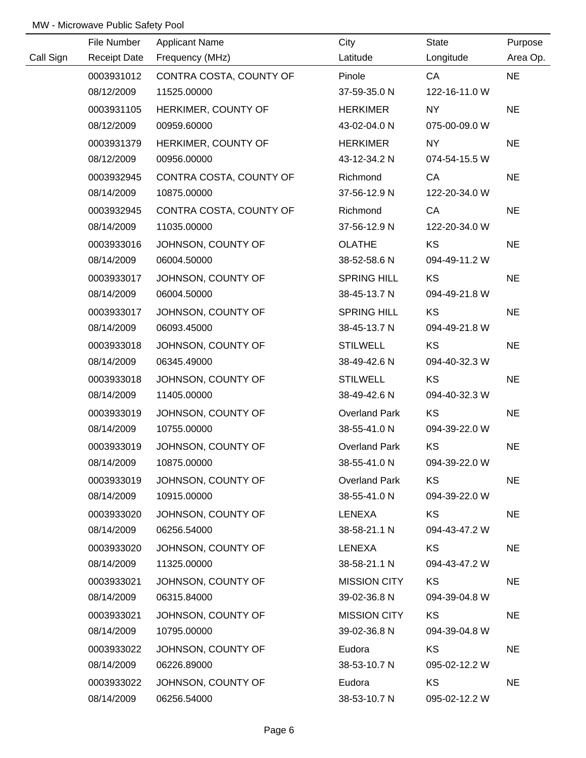|           | File Number         | <b>Applicant Name</b>   | City                 | State         | Purpose   |
|-----------|---------------------|-------------------------|----------------------|---------------|-----------|
| Call Sign | <b>Receipt Date</b> | Frequency (MHz)         | Latitude             | Longitude     | Area Op.  |
|           | 0003931012          | CONTRA COSTA, COUNTY OF | Pinole               | CA            | <b>NE</b> |
|           | 08/12/2009          | 11525.00000             | 37-59-35.0 N         | 122-16-11.0 W |           |
|           | 0003931105          | HERKIMER, COUNTY OF     | <b>HERKIMER</b>      | <b>NY</b>     | <b>NE</b> |
|           | 08/12/2009          | 00959.60000             | 43-02-04.0 N         | 075-00-09.0 W |           |
|           | 0003931379          | HERKIMER, COUNTY OF     | <b>HERKIMER</b>      | NY            | <b>NE</b> |
|           | 08/12/2009          | 00956.00000             | 43-12-34.2 N         | 074-54-15.5 W |           |
|           | 0003932945          | CONTRA COSTA, COUNTY OF | Richmond             | CA            | <b>NE</b> |
|           | 08/14/2009          | 10875.00000             | 37-56-12.9 N         | 122-20-34.0 W |           |
|           | 0003932945          | CONTRA COSTA, COUNTY OF | Richmond             | CA            | <b>NE</b> |
|           | 08/14/2009          | 11035.00000             | 37-56-12.9 N         | 122-20-34.0 W |           |
|           | 0003933016          | JOHNSON, COUNTY OF      | <b>OLATHE</b>        | KS            | <b>NE</b> |
|           | 08/14/2009          | 06004.50000             | 38-52-58.6 N         | 094-49-11.2 W |           |
|           | 0003933017          | JOHNSON, COUNTY OF      | <b>SPRING HILL</b>   | KS            | <b>NE</b> |
|           | 08/14/2009          | 06004.50000             | 38-45-13.7 N         | 094-49-21.8 W |           |
|           | 0003933017          | JOHNSON, COUNTY OF      | <b>SPRING HILL</b>   | KS            | <b>NE</b> |
|           | 08/14/2009          | 06093.45000             | 38-45-13.7 N         | 094-49-21.8 W |           |
|           | 0003933018          | JOHNSON, COUNTY OF      | <b>STILWELL</b>      | KS            | <b>NE</b> |
|           | 08/14/2009          | 06345.49000             | 38-49-42.6 N         | 094-40-32.3 W |           |
|           | 0003933018          | JOHNSON, COUNTY OF      | <b>STILWELL</b>      | <b>KS</b>     | <b>NE</b> |
|           | 08/14/2009          | 11405.00000             | 38-49-42.6 N         | 094-40-32.3 W |           |
|           | 0003933019          | JOHNSON, COUNTY OF      | <b>Overland Park</b> | KS            | <b>NE</b> |
|           | 08/14/2009          | 10755.00000             | 38-55-41.0 N         | 094-39-22.0 W |           |
|           | 0003933019          | JOHNSON, COUNTY OF      | <b>Overland Park</b> | KS            | <b>NE</b> |
|           | 08/14/2009          | 10875.00000             | 38-55-41.0 N         | 094-39-22.0 W |           |
|           | 0003933019          | JOHNSON, COUNTY OF      | <b>Overland Park</b> | KS            | <b>NE</b> |
|           | 08/14/2009          | 10915.00000             | 38-55-41.0 N         | 094-39-22.0 W |           |
|           | 0003933020          | JOHNSON, COUNTY OF      | LENEXA               | <b>KS</b>     | <b>NE</b> |
|           | 08/14/2009          | 06256.54000             | 38-58-21.1 N         | 094-43-47.2 W |           |
|           | 0003933020          | JOHNSON, COUNTY OF      | LENEXA               | KS            | <b>NE</b> |
|           | 08/14/2009          | 11325.00000             | 38-58-21.1 N         | 094-43-47.2 W |           |
|           | 0003933021          | JOHNSON, COUNTY OF      | <b>MISSION CITY</b>  | KS            | <b>NE</b> |
|           | 08/14/2009          | 06315.84000             | 39-02-36.8 N         | 094-39-04.8 W |           |
|           | 0003933021          | JOHNSON, COUNTY OF      | <b>MISSION CITY</b>  | KS            | <b>NE</b> |
|           | 08/14/2009          | 10795.00000             | 39-02-36.8 N         | 094-39-04.8 W |           |
|           | 0003933022          | JOHNSON, COUNTY OF      | Eudora               | <b>KS</b>     | <b>NE</b> |
|           | 08/14/2009          | 06226.89000             | 38-53-10.7 N         | 095-02-12.2 W |           |
|           | 0003933022          | JOHNSON, COUNTY OF      | Eudora               | <b>KS</b>     | <b>NE</b> |
|           | 08/14/2009          | 06256.54000             | 38-53-10.7 N         | 095-02-12.2 W |           |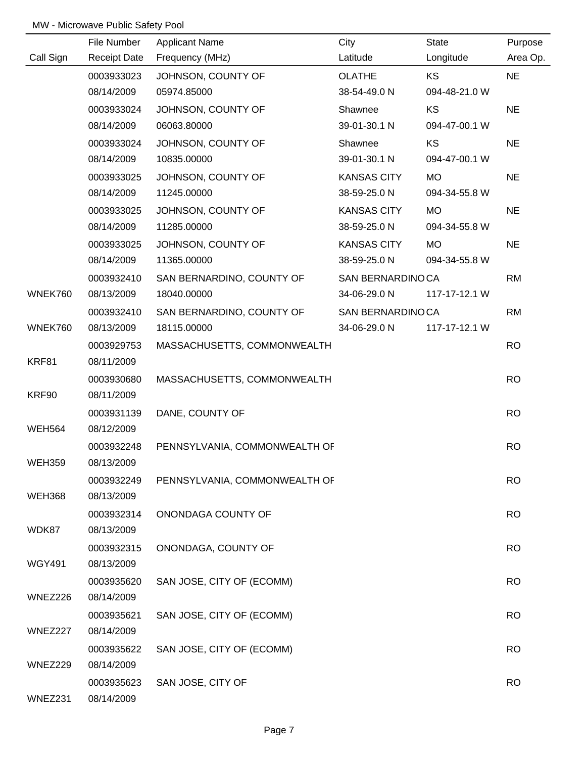|               | File Number         | <b>Applicant Name</b>         | City               | <b>State</b>  | Purpose   |
|---------------|---------------------|-------------------------------|--------------------|---------------|-----------|
| Call Sign     | <b>Receipt Date</b> | Frequency (MHz)               | Latitude           | Longitude     | Area Op.  |
|               | 0003933023          | JOHNSON, COUNTY OF            | <b>OLATHE</b>      | KS            | <b>NE</b> |
|               | 08/14/2009          | 05974.85000                   | 38-54-49.0 N       | 094-48-21.0 W |           |
|               | 0003933024          | JOHNSON, COUNTY OF            | Shawnee            | KS            | <b>NE</b> |
|               | 08/14/2009          | 06063.80000                   | 39-01-30.1 N       | 094-47-00.1 W |           |
|               | 0003933024          | JOHNSON, COUNTY OF            | Shawnee            | KS            | <b>NE</b> |
|               | 08/14/2009          | 10835.00000                   | 39-01-30.1 N       | 094-47-00.1 W |           |
|               | 0003933025          | JOHNSON, COUNTY OF            | <b>KANSAS CITY</b> | <b>MO</b>     | <b>NE</b> |
|               | 08/14/2009          | 11245.00000                   | 38-59-25.0 N       | 094-34-55.8 W |           |
|               | 0003933025          | JOHNSON, COUNTY OF            | <b>KANSAS CITY</b> | <b>MO</b>     | <b>NE</b> |
|               | 08/14/2009          | 11285.00000                   | 38-59-25.0 N       | 094-34-55.8 W |           |
|               | 0003933025          | JOHNSON, COUNTY OF            | <b>KANSAS CITY</b> | <b>MO</b>     | <b>NE</b> |
|               | 08/14/2009          | 11365.00000                   | 38-59-25.0 N       | 094-34-55.8 W |           |
|               | 0003932410          | SAN BERNARDINO, COUNTY OF     | SAN BERNARDINOCA   |               | <b>RM</b> |
| WNEK760       | 08/13/2009          | 18040.00000                   | 34-06-29.0 N       | 117-17-12.1 W |           |
|               | 0003932410          | SAN BERNARDINO, COUNTY OF     | SAN BERNARDINOCA   |               | <b>RM</b> |
| WNEK760       | 08/13/2009          | 18115.00000                   | 34-06-29.0 N       | 117-17-12.1 W |           |
|               | 0003929753          | MASSACHUSETTS, COMMONWEALTH   |                    |               | <b>RO</b> |
| KRF81         | 08/11/2009          |                               |                    |               |           |
|               | 0003930680          | MASSACHUSETTS, COMMONWEALTH   |                    |               | <b>RO</b> |
| KRF90         | 08/11/2009          |                               |                    |               |           |
|               | 0003931139          | DANE, COUNTY OF               |                    |               | <b>RO</b> |
| <b>WEH564</b> | 08/12/2009          |                               |                    |               |           |
|               | 0003932248          | PENNSYLVANIA, COMMONWEALTH OF |                    |               | <b>RO</b> |
| <b>WEH359</b> | 08/13/2009          |                               |                    |               |           |
|               | 0003932249          | PENNSYLVANIA, COMMONWEALTH OF |                    |               | <b>RO</b> |
| <b>WEH368</b> | 08/13/2009          |                               |                    |               |           |
|               | 0003932314          | ONONDAGA COUNTY OF            |                    |               | <b>RO</b> |
| WDK87         | 08/13/2009          |                               |                    |               |           |
|               | 0003932315          | ONONDAGA, COUNTY OF           |                    |               | <b>RO</b> |
| <b>WGY491</b> | 08/13/2009          |                               |                    |               |           |
|               | 0003935620          | SAN JOSE, CITY OF (ECOMM)     |                    |               | <b>RO</b> |
| WNEZ226       | 08/14/2009          |                               |                    |               |           |
|               | 0003935621          | SAN JOSE, CITY OF (ECOMM)     |                    |               | <b>RO</b> |
| WNEZ227       | 08/14/2009          |                               |                    |               |           |
|               | 0003935622          | SAN JOSE, CITY OF (ECOMM)     |                    |               | <b>RO</b> |
| WNEZ229       | 08/14/2009          |                               |                    |               |           |
|               | 0003935623          | SAN JOSE, CITY OF             |                    |               | <b>RO</b> |
| WNEZ231       | 08/14/2009          |                               |                    |               |           |